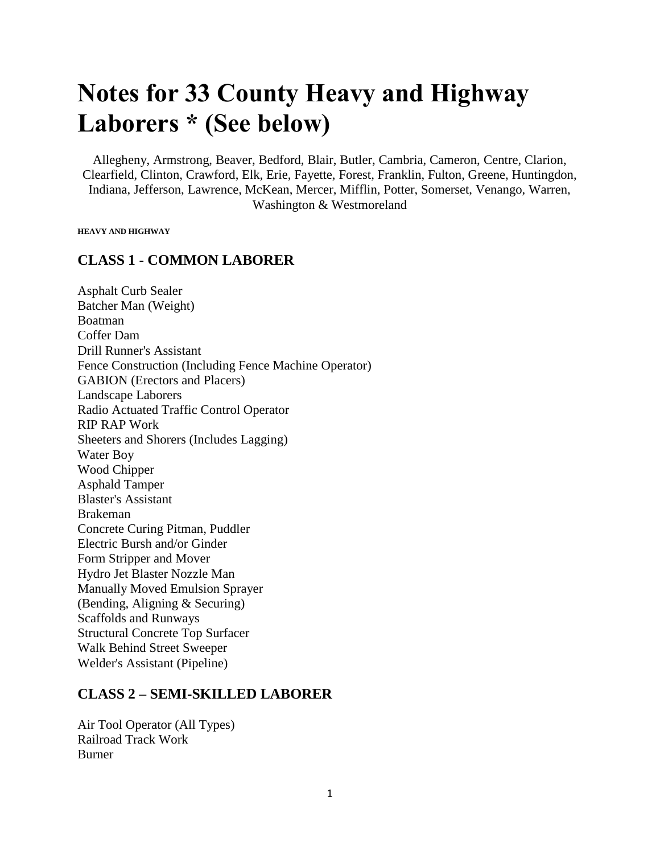# **Notes for 33 County Heavy and Highway Laborers \* (See below)**

Allegheny, Armstrong, Beaver, Bedford, Blair, Butler, Cambria, Cameron, Centre, Clarion, Clearfield, Clinton, Crawford, Elk, Erie, Fayette, Forest, Franklin, Fulton, Greene, Huntingdon, Indiana, Jefferson, Lawrence, McKean, Mercer, Mifflin, Potter, Somerset, Venango, Warren, Washington & Westmoreland

**HEAVY AND HIGHWAY**

#### **CLASS 1 - COMMON LABORER**

Asphalt Curb Sealer Batcher Man (Weight) Boatman Coffer Dam Drill Runner's Assistant Fence Construction (Including Fence Machine Operator) GABION (Erectors and Placers) Landscape Laborers Radio Actuated Traffic Control Operator RIP RAP Work Sheeters and Shorers (Includes Lagging) Water Boy Wood Chipper Asphald Tamper Blaster's Assistant Brakeman Concrete Curing Pitman, Puddler Electric Bursh and/or Ginder Form Stripper and Mover Hydro Jet Blaster Nozzle Man Manually Moved Emulsion Sprayer (Bending, Aligning & Securing) Scaffolds and Runways Structural Concrete Top Surfacer Walk Behind Street Sweeper Welder's Assistant (Pipeline)

#### **CLASS 2 – SEMI-SKILLED LABORER**

Air Tool Operator (All Types) Railroad Track Work Burner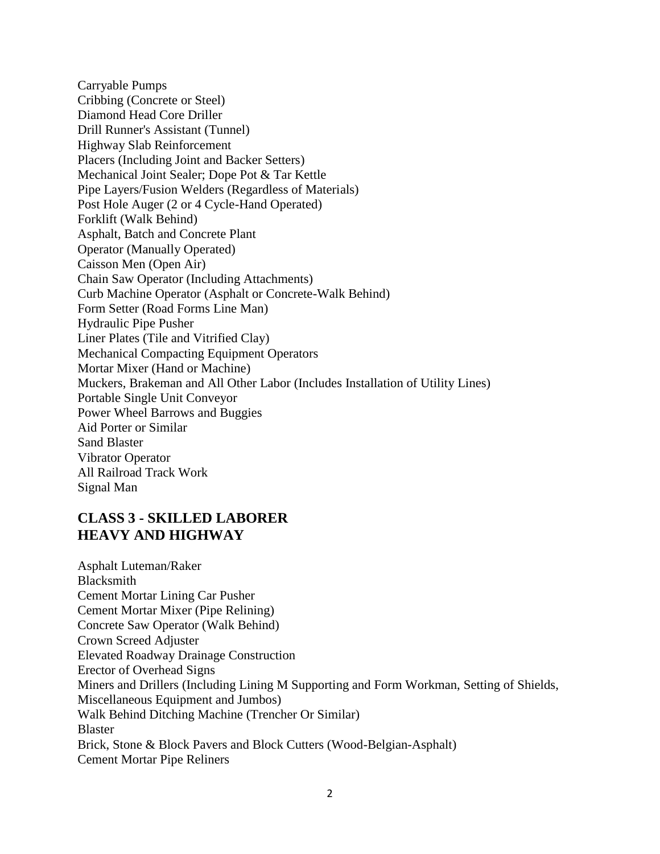Carryable Pumps Cribbing (Concrete or Steel) Diamond Head Core Driller Drill Runner's Assistant (Tunnel) Highway Slab Reinforcement Placers (Including Joint and Backer Setters) Mechanical Joint Sealer; Dope Pot & Tar Kettle Pipe Layers/Fusion Welders (Regardless of Materials) Post Hole Auger (2 or 4 Cycle-Hand Operated) Forklift (Walk Behind) Asphalt, Batch and Concrete Plant Operator (Manually Operated) Caisson Men (Open Air) Chain Saw Operator (Including Attachments) Curb Machine Operator (Asphalt or Concrete-Walk Behind) Form Setter (Road Forms Line Man) Hydraulic Pipe Pusher Liner Plates (Tile and Vitrified Clay) Mechanical Compacting Equipment Operators Mortar Mixer (Hand or Machine) Muckers, Brakeman and All Other Labor (Includes Installation of Utility Lines) Portable Single Unit Conveyor Power Wheel Barrows and Buggies Aid Porter or Similar Sand Blaster Vibrator Operator All Railroad Track Work Signal Man

#### **CLASS 3 - SKILLED LABORER HEAVY AND HIGHWAY**

Asphalt Luteman/Raker Blacksmith Cement Mortar Lining Car Pusher Cement Mortar Mixer (Pipe Relining) Concrete Saw Operator (Walk Behind) Crown Screed Adjuster Elevated Roadway Drainage Construction Erector of Overhead Signs Miners and Drillers (Including Lining M Supporting and Form Workman, Setting of Shields, Miscellaneous Equipment and Jumbos) Walk Behind Ditching Machine (Trencher Or Similar) Blaster Brick, Stone & Block Pavers and Block Cutters (Wood-Belgian-Asphalt) Cement Mortar Pipe Reliners